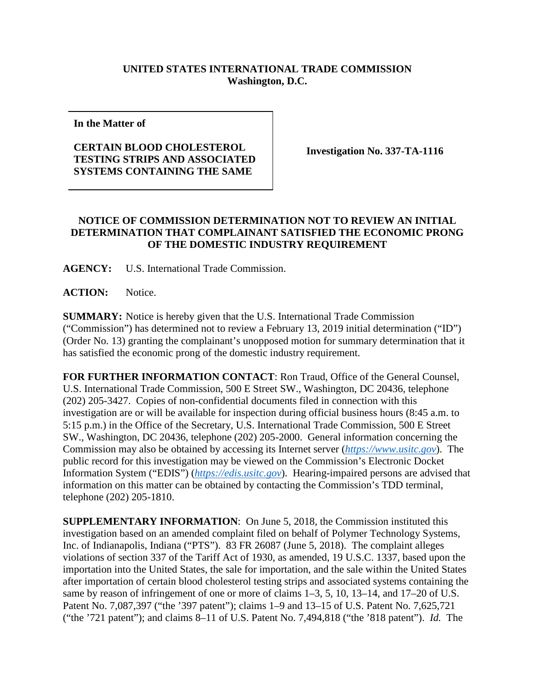## **UNITED STATES INTERNATIONAL TRADE COMMISSION Washington, D.C.**

**In the Matter of**

## **CERTAIN BLOOD CHOLESTEROL TESTING STRIPS AND ASSOCIATED SYSTEMS CONTAINING THE SAME**

**Investigation No. 337-TA-1116**

## **NOTICE OF COMMISSION DETERMINATION NOT TO REVIEW AN INITIAL DETERMINATION THAT COMPLAINANT SATISFIED THE ECONOMIC PRONG OF THE DOMESTIC INDUSTRY REQUIREMENT**

**AGENCY:** U.S. International Trade Commission.

**ACTION:** Notice.

**SUMMARY:** Notice is hereby given that the U.S. International Trade Commission ("Commission") has determined not to review a February 13, 2019 initial determination ("ID") (Order No. 13) granting the complainant's unopposed motion for summary determination that it has satisfied the economic prong of the domestic industry requirement.

**FOR FURTHER INFORMATION CONTACT**: Ron Traud, Office of the General Counsel, U.S. International Trade Commission, 500 E Street SW., Washington, DC 20436, telephone (202) 205-3427. Copies of non-confidential documents filed in connection with this investigation are or will be available for inspection during official business hours (8:45 a.m. to 5:15 p.m.) in the Office of the Secretary, U.S. International Trade Commission, 500 E Street SW., Washington, DC 20436, telephone (202) 205-2000. General information concerning the Commission may also be obtained by accessing its Internet server (*[https://www.usitc.gov](https://www.usitc.gov/)*). The public record for this investigation may be viewed on the Commission's Electronic Docket Information System ("EDIS") (*[https://edis.usitc.gov](https://edis.usitc.gov/)*). Hearing-impaired persons are advised that information on this matter can be obtained by contacting the Commission's TDD terminal, telephone (202) 205-1810.

**SUPPLEMENTARY INFORMATION**: On June 5, 2018, the Commission instituted this investigation based on an amended complaint filed on behalf of Polymer Technology Systems, Inc. of Indianapolis, Indiana ("PTS"). 83 FR 26087 (June 5, 2018). The complaint alleges violations of section 337 of the Tariff Act of 1930, as amended, 19 U.S.C. 1337, based upon the importation into the United States, the sale for importation, and the sale within the United States after importation of certain blood cholesterol testing strips and associated systems containing the same by reason of infringement of one or more of claims 1–3, 5, 10, 13–14, and 17–20 of U.S. Patent No. 7,087,397 ("the '397 patent"); claims 1–9 and 13–15 of U.S. Patent No. 7,625,721 ("the '721 patent"); and claims 8–11 of U.S. Patent No. 7,494,818 ("the '818 patent"). *Id.* The